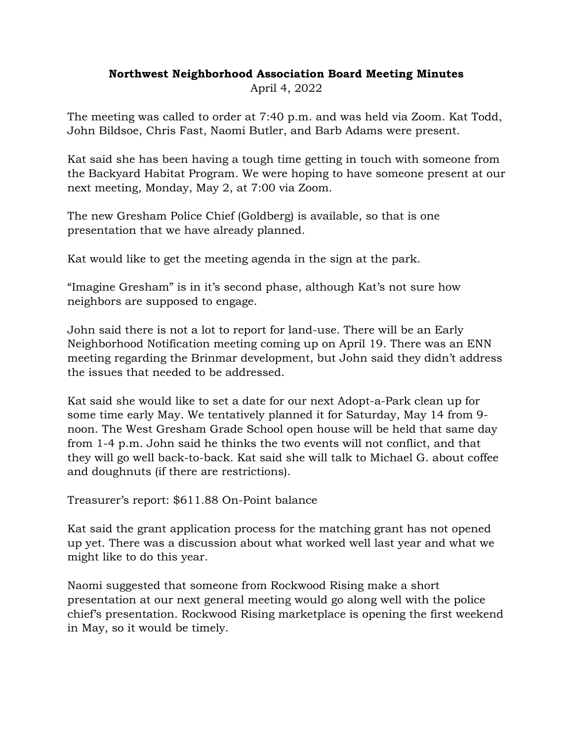## **Northwest Neighborhood Association Board Meeting Minutes**

April 4, 2022

The meeting was called to order at 7:40 p.m. and was held via Zoom. Kat Todd, John Bildsoe, Chris Fast, Naomi Butler, and Barb Adams were present.

Kat said she has been having a tough time getting in touch with someone from the Backyard Habitat Program. We were hoping to have someone present at our next meeting, Monday, May 2, at 7:00 via Zoom.

The new Gresham Police Chief (Goldberg) is available, so that is one presentation that we have already planned.

Kat would like to get the meeting agenda in the sign at the park.

"Imagine Gresham" is in it's second phase, although Kat's not sure how neighbors are supposed to engage.

John said there is not a lot to report for land-use. There will be an Early Neighborhood Notification meeting coming up on April 19. There was an ENN meeting regarding the Brinmar development, but John said they didn't address the issues that needed to be addressed.

Kat said she would like to set a date for our next Adopt-a-Park clean up for some time early May. We tentatively planned it for Saturday, May 14 from 9 noon. The West Gresham Grade School open house will be held that same day from 1-4 p.m. John said he thinks the two events will not conflict, and that they will go well back-to-back. Kat said she will talk to Michael G. about coffee and doughnuts (if there are restrictions).

Treasurer's report: \$611.88 On-Point balance

Kat said the grant application process for the matching grant has not opened up yet. There was a discussion about what worked well last year and what we might like to do this year.

Naomi suggested that someone from Rockwood Rising make a short presentation at our next general meeting would go along well with the police chief's presentation. Rockwood Rising marketplace is opening the first weekend in May, so it would be timely.